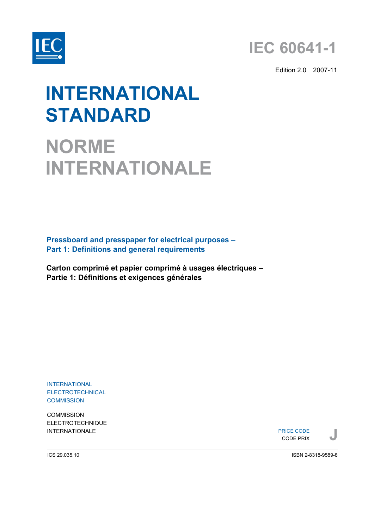



Edition 2.0 2007-11

# **INTERNATIONAL STANDARD**

**NORME INTERNATIONALE**

**Pressboard and presspaper for electrical purposes – Part 1: Definitions and general requirements** 

**Carton comprimé et papier comprimé à usages électriques – Partie 1: Définitions et exigences générales** 

INTERNATIONAL ELECTROTECHNICAL **COMMISSION** 

**COMMISSION** ELECTROTECHNIQUE

INTERNATIONALE PRICE CODE PRICE CODE PRICE CODE PRICE CODE PRIX PRICE CODE CODE PRIX

ICS 29.035.10

ISBN 2-8318-9589-8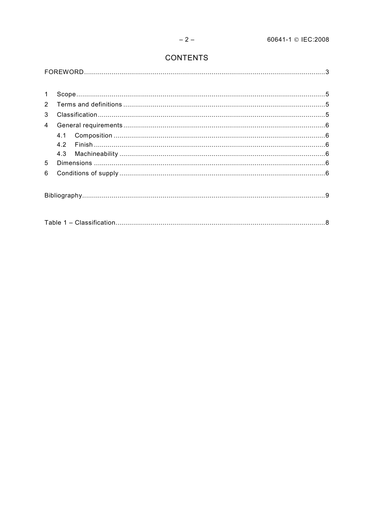## **CONTENTS**

|--|

| $\mathbf{1}$   |     |  |  |
|----------------|-----|--|--|
| $2^{\circ}$    |     |  |  |
| 3              |     |  |  |
| $\overline{4}$ |     |  |  |
|                | 4.1 |  |  |
|                | 4.2 |  |  |
|                |     |  |  |
| 5              |     |  |  |
| 6              |     |  |  |
|                |     |  |  |
|                |     |  |  |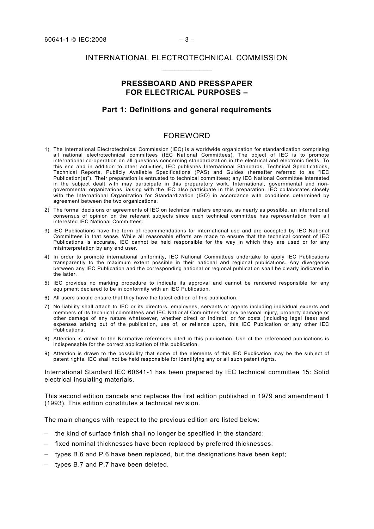## <span id="page-2-0"></span>INTERNATIONAL ELECTROTECHNICAL COMMISSION  $\frac{1}{2}$  ,  $\frac{1}{2}$  ,  $\frac{1}{2}$  ,  $\frac{1}{2}$  ,  $\frac{1}{2}$  ,  $\frac{1}{2}$

## **PRESSBOARD AND PRESSPAPER FOR ELECTRICAL PURPOSES –**

#### **Part 1: Definitions and general requirements**

#### FOREWORD

- 1) The International Electrotechnical Commission (IEC) is a worldwide organization for standardization comprising all national electrotechnical committees (IEC National Committees). The object of IEC is to promote international co-operation on all questions concerning standardization in the electrical and electronic fields. To this end and in addition to other activities, IEC publishes International Standards, Technical Specifications, Technical Reports, Publicly Available Specifications (PAS) and Guides (hereafter referred to as "IEC Publication(s)"). Their preparation is entrusted to technical committees; any IEC National Committee interested in the subject dealt with may participate in this preparatory work. International, governmental and nongovernmental organizations liaising with the IEC also participate in this preparation. IEC collaborates closely with the International Organization for Standardization (ISO) in accordance with conditions determined by agreement between the two organizations.
- 2) The formal decisions or agreements of IEC on technical matters express, as nearly as possible, an international consensus of opinion on the relevant subjects since each technical committee has representation from all interested IEC National Committees.
- 3) IEC Publications have the form of recommendations for international use and are accepted by IEC National Committees in that sense. While all reasonable efforts are made to ensure that the technical content of IEC Publications is accurate, IEC cannot be held responsible for the way in which they are used or for any misinterpretation by any end user.
- 4) In order to promote international uniformity, IEC National Committees undertake to apply IEC Publications transparently to the maximum extent possible in their national and regional publications. Any divergence between any IEC Publication and the corresponding national or regional publication shall be clearly indicated in the latter.
- 5) IEC provides no marking procedure to indicate its approval and cannot be rendered responsible for any equipment declared to be in conformity with an IEC Publication.
- 6) All users should ensure that they have the latest edition of this publication.
- 7) No liability shall attach to IEC or its directors, employees, servants or agents including individual experts and members of its technical committees and IEC National Committees for any personal injury, property damage or other damage of any nature whatsoever, whether direct or indirect, or for costs (including legal fees) and expenses arising out of the publication, use of, or reliance upon, this IEC Publication or any other IEC Publications.
- 8) Attention is drawn to the Normative references cited in this publication. Use of the referenced publications is indispensable for the correct application of this publication.
- 9) Attention is drawn to the possibility that some of the elements of this IEC Publication may be the subject of patent rights. IEC shall not be held responsible for identifying any or all such patent rights.

International Standard IEC 60641-1 has been prepared by IEC technical committee 15: Solid electrical insulating materials.

This second edition cancels and replaces the first edition published in 1979 and amendment 1 (1993). This edition constitutes a technical revision.

The main changes with respect to the previous edition are listed below:

- the kind of surface finish shall no longer be specified in the standard;
- fixed nominal thicknesses have been replaced by preferred thicknesses;
- types B.6 and P.6 have been replaced, but the designations have been kept;
- types B.7 and P.7 have been deleted.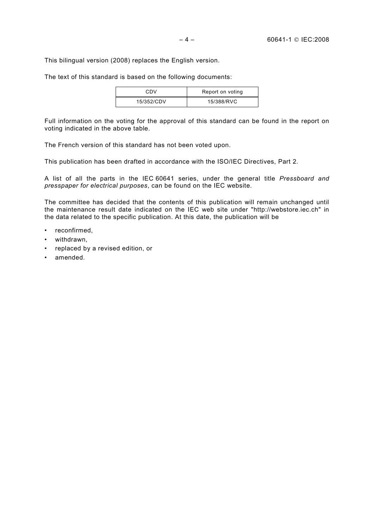This bilingual version (2008) replaces the English version.

The text of this standard is based on the following documents:

| CDV        | Report on voting |
|------------|------------------|
| 15/352/CDV | 15/388/RVC       |

Full information on the voting for the approval of this standard can be found in the report on voting indicated in the above table.

The French version of this standard has not been voted upon.

This publication has been drafted in accordance with the ISO/IEC Directives, Part 2.

A list of all the parts in the IEC 60641 series, under the general title *Pressboard and presspaper for electrical purposes*, can be found on the IEC website.

The committee has decided that the contents of this publication will remain unchanged until the maintenance result date indicated on the IEC web site under "http://webstore.iec.ch" in the data related to the specific publication. At this date, the publication will be

- reconfirmed,
- withdrawn,
- replaced by a revised edition, or
- amended.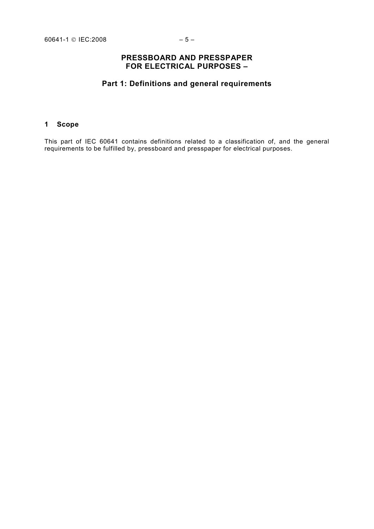## **PRESSBOARD AND PRESSPAPER FOR ELECTRICAL PURPOSES –**

## **Part 1: Definitions and general requirements**

### <span id="page-4-0"></span>**1 Scope**

This part of IEC 60641 contains definitions related to a classification of, and the general requirements to be fulfilled by, pressboard and presspaper for electrical purposes.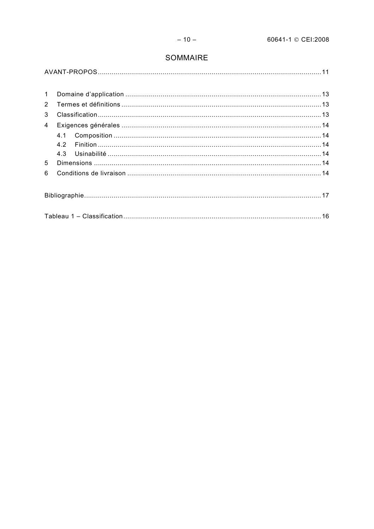## SOMMAIRE

|--|

| $2^{\circ}$    |     |  |  |
|----------------|-----|--|--|
| 3              |     |  |  |
| $\overline{4}$ |     |  |  |
|                |     |  |  |
|                | 42  |  |  |
|                | 4.3 |  |  |
| 5              |     |  |  |
| 6              |     |  |  |
|                |     |  |  |
|                |     |  |  |
|                |     |  |  |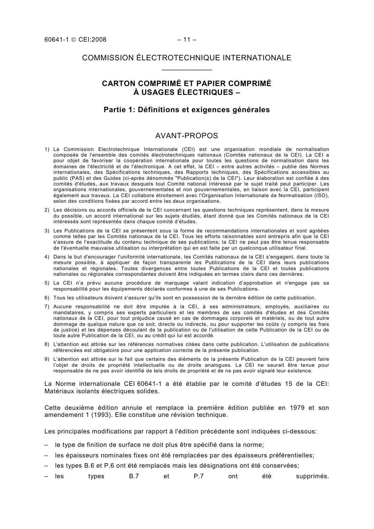## <span id="page-6-0"></span>COMMISSION ÉLECTROTECHNIQUE INTERNATIONALE  $\frac{1}{2}$  ,  $\frac{1}{2}$  ,  $\frac{1}{2}$  ,  $\frac{1}{2}$  ,  $\frac{1}{2}$  ,  $\frac{1}{2}$

## **CARTON COMPRIMÉ ET PAPIER COMPRIMÉ À USAGES ÉLECTRIQUES –**

#### **Partie 1: Définitions et exigences générales**

#### AVANT-PROPOS

- 1) La Commission Electrotechnique Internationale (CEI) est une organisation mondiale de normalisation composée de l'ensemble des comités électrotechniques nationaux (Comités nationaux de la CEI). La CEI a pour objet de favoriser la coopération internationale pour toutes les questions de normalisation dans les domaines de l'électricité et de l'électronique. A cet effet, la CEI – entre autres activités – publie des Normes internationales, des Spécifications techniques, des Rapports techniques, des Spécifications accessibles au public (PAS) et des Guides (ci-après dénommés "Publication(s) de la CEI"). Leur élaboration est confiée à des comités d'études, aux travaux desquels tout Comité national intéressé par le sujet traité peut participer. Les organisations internationales, gouvernementales et non gouvernementales, en liaison avec la CEI, participent également aux travaux. La CEI collabore étroitement avec l'Organisation Internationale de Normalisation (ISO), selon des conditions fixées par accord entre les deux organisations.
- 2) Les décisions ou accords officiels de la CEI concernant les questions techniques représentent, dans la mesure du possible, un accord international sur les sujets étudiés, étant donné que les Comités nationaux de la CEI intéressés sont représentés dans chaque comité d'études.
- 3) Les Publications de la CEI se présentent sous la forme de recommandations internationales et sont agréées comme telles par les Comités nationaux de la CEI. Tous les efforts raisonnables sont entrepris afin que la CEI s'assure de l'exactitude du contenu technique de ses publications; la CEI ne peut pas être tenue responsable de l'éventuelle mauvaise utilisation ou interprétation qui en est faite par un quelconque utilisateur final.
- 4) Dans le but d'encourager l'uniformité internationale, les Comités nationaux de la CEI s'engagent, dans toute la mesure possible, à appliquer de façon transparente les Publications de la CEI dans leurs publications nationales et régionales. Toutes divergences entre toutes Publications de la CEI et toutes publications nationales ou régionales correspondantes doivent être indiquées en termes clairs dans ces dernières.
- 5) La CEI n'a prévu aucune procédure de marquage valant indication d'approbation et n'engage pas sa responsabilité pour les équipements déclarés conformes à une de ses Publications.
- 6) Tous les utilisateurs doivent s'assurer qu'ils sont en possession de la dernière édition de cette publication.
- 7) Aucune responsabilité ne doit être imputée à la CEI, à ses administrateurs, employés, auxiliaires ou mandataires, y compris ses experts particuliers et les membres de ses comités d'études et des Comités nationaux de la CEI, pour tout préjudice causé en cas de dommages corporels et matériels, ou de tout autre dommage de quelque nature que ce soit, directe ou indirecte, ou pour supporter les coûts (y compris les frais de justice) et les dépenses découlant de la publication ou de l'utilisation de cette Publication de la CEI ou de toute autre Publication de la CEI, ou au crédit qui lui est accordé.
- 8) L'attention est attirée sur les références normatives citées dans cette publication. L'utilisation de publications référencées est obligatoire pour une application correcte de la présente publication.
- 9) L'attention est attirée sur le fait que certains des éléments de la présente Publication de la CEI peuvent faire l'objet de droits de propriété intellectuelle ou de droits analogues. La CEI ne saurait être tenue pour responsable de ne pas avoir identifié de tels droits de propriété et de ne pas avoir signalé leur existence.

La Norme internationale CEI 60641-1 a été établie par le comité d'études 15 de la CEI: Matériaux isolants électriques solides.

Cette deuxième édition annule et remplace la première édition publiée en 1979 et son amendement 1 (1993). Elle constitue une révision technique.

Les principales modifications par rapport à l'édition précédente sont indiquées ci-dessous:

- le type de finition de surface ne doit plus être spécifié dans la norme;
- les épaisseurs nominales fixes ont été remplacées par des épaisseurs préférentielles;
- les types B.6 et P.6 ont été remplacés mais les désignations ont été conservées;
- les types B.7 et P.7 ont été supprimés.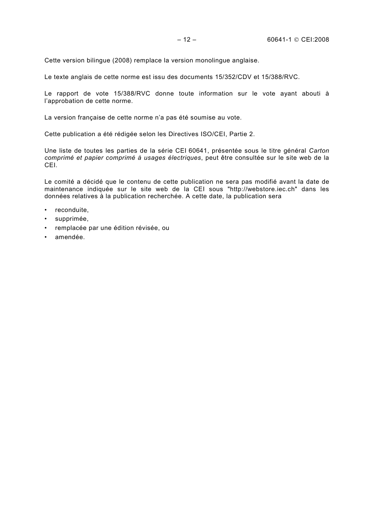Cette version bilingue (2008) remplace la version monolingue anglaise.

Le texte anglais de cette norme est issu des documents 15/352/CDV et 15/388/RVC.

Le rapport de vote 15/388/RVC donne toute information sur le vote ayant abouti à l'approbation de cette norme.

La version française de cette norme n'a pas été soumise au vote.

Cette publication a été rédigée selon les Directives ISO/CEI, Partie 2.

Une liste de toutes les parties de la série CEI 60641, présentée sous le titre général *Carton comprimé et papier comprimé à usages électriques*, peut être consultée sur le site web de la CEI.

Le comité a décidé que le contenu de cette publication ne sera pas modifié avant la date de maintenance indiquée sur le site web de la CEI sous "http://webstore.iec.ch" dans les données relatives à la publication recherchée. A cette date, la publication sera

- reconduite,
- supprimée,
- remplacée par une édition révisée, ou
- amendée.